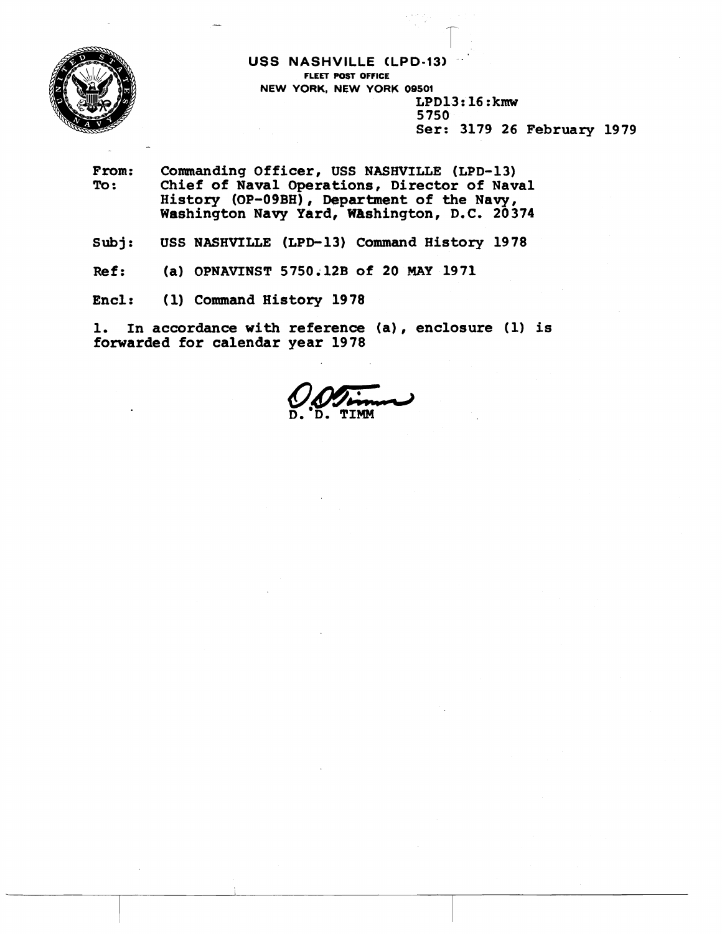

**USS NASHVILLE CLPD-13) FLEET POST OFFICE NEW YORK, NEW YORK 09501**  LPD13: 16 **:kmw**  5750 Ser: 3179 26 **February** 1979

- From: Commanding Officer, USS NASHVILLE (LPD-13)<br>To: Chief of Naval Operations, Director of Nav Chief of Naval Operations, Director of Naval **History** (OP-O9BH) , Department of the **Navy,**  Washington **Navy** Yard, WAshington, D.C. 20374
- Subj: USS NASHVILLE **(LPD-13)** Command History 1978
- **Ref: (a)** OPNAVINST 5750.12B of 20 MAY 1971
- End: (1) Command History 1978

1. In accordance with reference **(a)** , enclosure (1) is forwarded for calendar year 1978

 $\mathcal{Q}$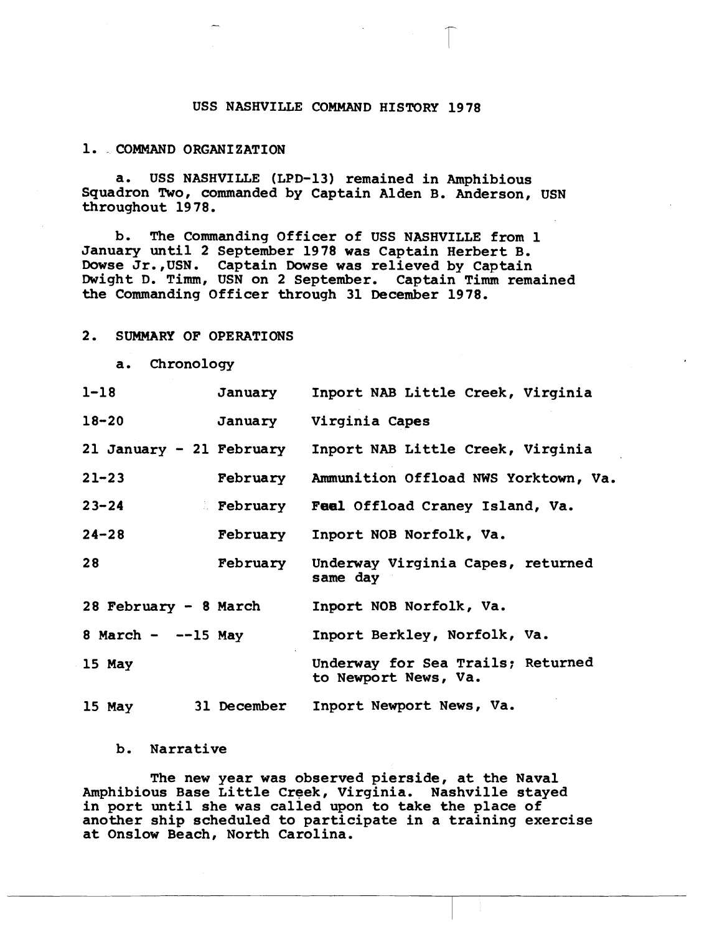# USS NASHVILLE COMMAND HISTORY 1978

#### 1. - COMMAND ORGANIZATION

a. USS NASHVILLE (LPD-13) remained in Amphibious Squadron Two, commanded by Captain Alden B. Anderson, USN throughout 19 78.

b. The Commanding Officer of USS NASHVILLE from 1 January until **2** September 1978 was Captain Herbert B. Dowse Jr., USN. Captain Dowse was relieved by Captain Dwight D. Timm, USN on 2 September. Captain Timm remained the Commanding Officer through 31 December 1978.

# **2.** SUMMARY OF OPERATIONS

| a. Chronology            |                 |                                                           |
|--------------------------|-----------------|-----------------------------------------------------------|
| $1 - 18$                 | January         | Inport NAB Little Creek, Virginia                         |
| $18 - 20$                | January         | Virginia Capes                                            |
| 21 January - 21 February |                 | Inport NAB Little Creek, Virginia                         |
| $21 - 23$                |                 | February Ammunition Offload NWS Yorktown, Va.             |
| $23 - 24$                | <b>February</b> | Feel Offload Craney Island, Va.                           |
| $24 - 28$                | February        | Inport NOB Norfolk, Va.                                   |
| 28                       | February        | Underway Virginia Capes, returned<br>same day             |
| 28 February - 8 March    |                 | Inport NOB Norfolk, Va.                                   |
| 8 March $ -$ -15 May     |                 | Inport Berkley, Norfolk, Va.                              |
| 15 May                   |                 | Underway for Sea Trails; Returned<br>to Newport News, Va. |
| 15 May                   | 31 December     | Inport Newport News, Va.                                  |

# b. Narrative

The new year was observed pierside, at the Naval Amphibious Base Little Creek, Virginia. Nashville stayed in port until she was called upon to take the place of another ship scheduled to participate in a training exercise at Onslow Beach, North Carolina.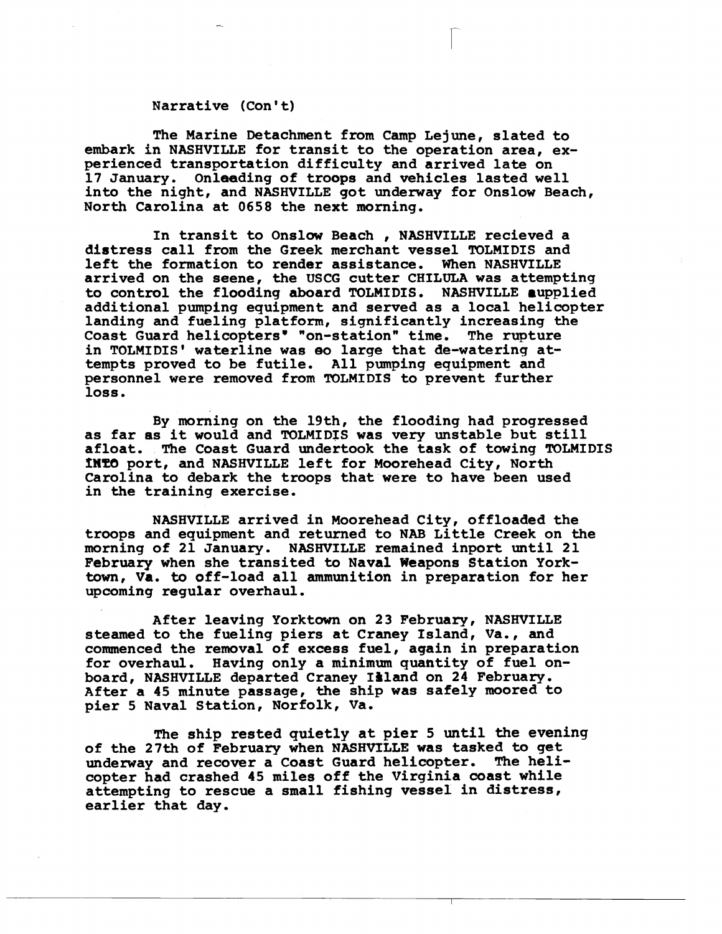# Narrative (Con't)

The Marine Detachment from Camp Lejune, slated to embark in NASHVILLE for transit to the operation area, experienced transportation difficulty and arrived late on 17 January. Onleading of troops and vehicles lasted well into the night, and NASHVILLE got underway for Onslow Beach, North Carolina at 0658 the next morning.

In transit to Onslow Beach , NASHVILLE recieved a distress call from the Greek merchant vessel TOLMIDIS and<br>left the formation to render assistance. When NASHVILLE left the formation to render assistance. arrived on the seene, the USCG cutter CHILULA was attempting to control the flooding aboard TOLMIDIS. NASHVILLE aupplied additional pumping equipment and served as a local helicopter landing and fueling platform, significantly increasing **the**  Coast Guard helicopters' "on-station" time. The rupture in TOLMIDIS' waterline was **eo** large that de-watering attempts proved to be futile, All pumping equipment and personnel were removed from TOLMIDIS to prevent further loss.

By morning on the 19th, the flooding had progressed as far as it would and TOLMIDIS was very unstable but still afloat. The Coast Guard undertook the task of towing TOLMIDIS **mT0** port, and NASHVILLE left for Moorehead City, North Carolina to debark the troops that were to have been used in the training exercise.

NASHVILLE arrived in Moorehead City, offloaded the troops and equipment and returned to NAB Little Creek on the morning of 21 January. NASHVILLE remained inport until 21 **February** when she transited to Naval Weapons Station York**town,** Va. to off-load all ammunition in preparation for her upcoming regular overhaul.

After leaving Yorktown on **23** February, NASHVILLE steamed to the fueling piers at Craney Island, Va., and commenced the removal of excess fuel, again in preparation for overhaul. Having only a minimum quantity of fuel on-<br>board, NASHVILLE departed Craney Island on 24 February. After a 45 minute passage, the ship was safely moored to pier **5** Naval Station, Norfolk, Va.

The ship rested quietly at pier 5 until **the evening**  of the 27th of February when NASHVILLE was tasked **to** get underway and recover a Coast Guard helicopter. The helicopter had crashed 45 miles off the Virginia coast while attempting to rescue a small fishing vessel in distress, earlier that day.